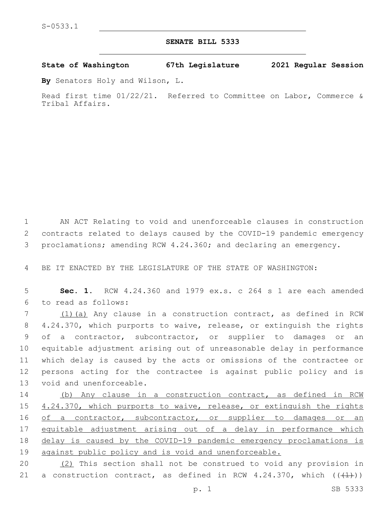## **SENATE BILL 5333**

**State of Washington 67th Legislature 2021 Regular Session**

**By** Senators Holy and Wilson, L.

Read first time 01/22/21. Referred to Committee on Labor, Commerce & Tribal Affairs.

1 AN ACT Relating to void and unenforceable clauses in construction 2 contracts related to delays caused by the COVID-19 pandemic emergency 3 proclamations; amending RCW 4.24.360; and declaring an emergency.

4 BE IT ENACTED BY THE LEGISLATURE OF THE STATE OF WASHINGTON:

5 **Sec. 1.** RCW 4.24.360 and 1979 ex.s. c 264 s 1 are each amended to read as follows:6

 (1)(a) Any clause in a construction contract, as defined in RCW 4.24.370, which purports to waive, release, or extinguish the rights of a contractor, subcontractor, or supplier to damages or an equitable adjustment arising out of unreasonable delay in performance which delay is caused by the acts or omissions of the contractee or persons acting for the contractee is against public policy and is 13 void and unenforceable.

14 (b) Any clause in a construction contract, as defined in RCW 15 4.24.370, which purports to waive, release, or extinguish the rights 16 of a contractor, subcontractor, or supplier to damages or an 17 equitable adjustment arising out of a delay in performance which 18 delay is caused by the COVID-19 pandemic emergency proclamations is 19 against public policy and is void and unenforceable.

20 (2) This section shall not be construed to void any provision in 21 a construction contract, as defined in RCW 4.24.370, which  $((+1+))$